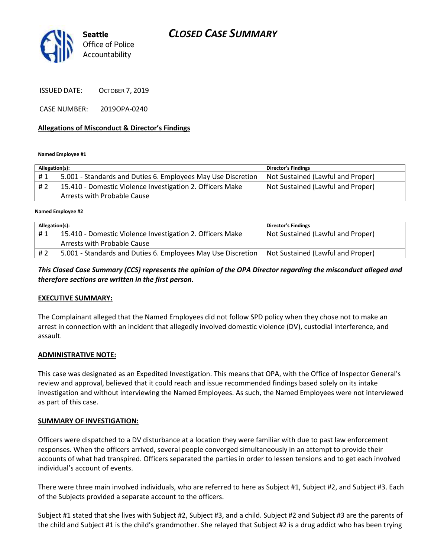# *CLOSED CASE SUMMARY*



ISSUED DATE: OCTOBER 7, 2019

CASE NUMBER: 2019OPA-0240

#### **Allegations of Misconduct & Director's Findings**

**Named Employee #1**

| Allegation(s): |                                                              | <b>Director's Findings</b>        |
|----------------|--------------------------------------------------------------|-----------------------------------|
| #1             | 5.001 - Standards and Duties 6. Employees May Use Discretion | Not Sustained (Lawful and Proper) |
| # 2            | 15.410 - Domestic Violence Investigation 2. Officers Make    | Not Sustained (Lawful and Proper) |
|                | Arrests with Probable Cause                                  |                                   |

ؚ<br>ا **Named Employee #2**

| Allegation(s): |                                                              | <b>Director's Findings</b>        |
|----------------|--------------------------------------------------------------|-----------------------------------|
| #1             | 15.410 - Domestic Violence Investigation 2. Officers Make    | Not Sustained (Lawful and Proper) |
|                | Arrests with Probable Cause                                  |                                   |
| # 2            | 5.001 - Standards and Duties 6. Employees May Use Discretion | Not Sustained (Lawful and Proper) |

#### *This Closed Case Summary (CCS) represents the opinion of the OPA Director regarding the misconduct alleged and therefore sections are written in the first person.*

#### **EXECUTIVE SUMMARY:**

The Complainant alleged that the Named Employees did not follow SPD policy when they chose not to make an arrest in connection with an incident that allegedly involved domestic violence (DV), custodial interference, and assault.

#### **ADMINISTRATIVE NOTE:**

This case was designated as an Expedited Investigation. This means that OPA, with the Office of Inspector General's review and approval, believed that it could reach and issue recommended findings based solely on its intake investigation and without interviewing the Named Employees. As such, the Named Employees were not interviewed as part of this case.

#### **SUMMARY OF INVESTIGATION:**

Officers were dispatched to a DV disturbance at a location they were familiar with due to past law enforcement responses. When the officers arrived, several people converged simultaneously in an attempt to provide their accounts of what had transpired. Officers separated the parties in order to lessen tensions and to get each involved individual's account of events.

There were three main involved individuals, who are referred to here as Subject #1, Subject #2, and Subject #3. Each of the Subjects provided a separate account to the officers.

Subject #1 stated that she lives with Subject #2, Subject #3, and a child. Subject #2 and Subject #3 are the parents of the child and Subject #1 is the child's grandmother. She relayed that Subject #2 is a drug addict who has been trying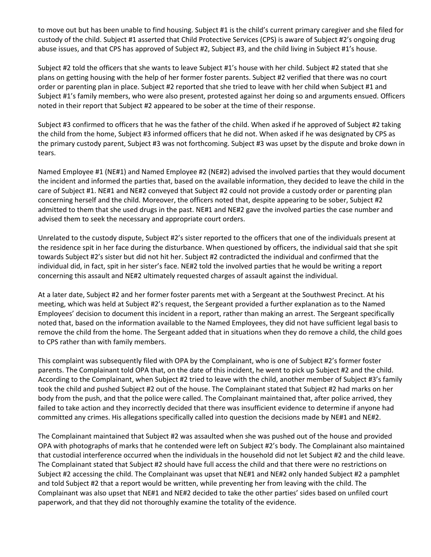to move out but has been unable to find housing. Subject #1 is the child's current primary caregiver and she filed for custody of the child. Subject #1 asserted that Child Protective Services (CPS) is aware of Subject #2's ongoing drug abuse issues, and that CPS has approved of Subject #2, Subject #3, and the child living in Subject #1's house.

Subject #2 told the officers that she wants to leave Subject #1's house with her child. Subject #2 stated that she plans on getting housing with the help of her former foster parents. Subject #2 verified that there was no court order or parenting plan in place. Subject #2 reported that she tried to leave with her child when Subject #1 and Subject #1's family members, who were also present, protested against her doing so and arguments ensued. Officers noted in their report that Subject #2 appeared to be sober at the time of their response.

Subject #3 confirmed to officers that he was the father of the child. When asked if he approved of Subject #2 taking the child from the home, Subject #3 informed officers that he did not. When asked if he was designated by CPS as the primary custody parent, Subject #3 was not forthcoming. Subject #3 was upset by the dispute and broke down in tears.

Named Employee #1 (NE#1) and Named Employee #2 (NE#2) advised the involved parties that they would document the incident and informed the parties that, based on the available information, they decided to leave the child in the care of Subject #1. NE#1 and NE#2 conveyed that Subject #2 could not provide a custody order or parenting plan concerning herself and the child. Moreover, the officers noted that, despite appearing to be sober, Subject #2 admitted to them that she used drugs in the past. NE#1 and NE#2 gave the involved parties the case number and advised them to seek the necessary and appropriate court orders.

Unrelated to the custody dispute, Subject #2's sister reported to the officers that one of the individuals present at the residence spit in her face during the disturbance. When questioned by officers, the individual said that she spit towards Subject #2's sister but did not hit her. Subject #2 contradicted the individual and confirmed that the individual did, in fact, spit in her sister's face. NE#2 told the involved parties that he would be writing a report concerning this assault and NE#2 ultimately requested charges of assault against the individual.

At a later date, Subject #2 and her former foster parents met with a Sergeant at the Southwest Precinct. At his meeting, which was held at Subject #2's request, the Sergeant provided a further explanation as to the Named Employees' decision to document this incident in a report, rather than making an arrest. The Sergeant specifically noted that, based on the information available to the Named Employees, they did not have sufficient legal basis to remove the child from the home. The Sergeant added that in situations when they do remove a child, the child goes to CPS rather than with family members.

This complaint was subsequently filed with OPA by the Complainant, who is one of Subject #2's former foster parents. The Complainant told OPA that, on the date of this incident, he went to pick up Subject #2 and the child. According to the Complainant, when Subject #2 tried to leave with the child, another member of Subject #3's family took the child and pushed Subject #2 out of the house. The Complainant stated that Subject #2 had marks on her body from the push, and that the police were called. The Complainant maintained that, after police arrived, they failed to take action and they incorrectly decided that there was insufficient evidence to determine if anyone had committed any crimes. His allegations specifically called into question the decisions made by NE#1 and NE#2.

The Complainant maintained that Subject #2 was assaulted when she was pushed out of the house and provided OPA with photographs of marks that he contended were left on Subject #2's body. The Complainant also maintained that custodial interference occurred when the individuals in the household did not let Subject #2 and the child leave. The Complainant stated that Subject #2 should have full access the child and that there were no restrictions on Subject #2 accessing the child. The Complainant was upset that NE#1 and NE#2 only handed Subject #2 a pamphlet and told Subject #2 that a report would be written, while preventing her from leaving with the child. The Complainant was also upset that NE#1 and NE#2 decided to take the other parties' sides based on unfiled court paperwork, and that they did not thoroughly examine the totality of the evidence.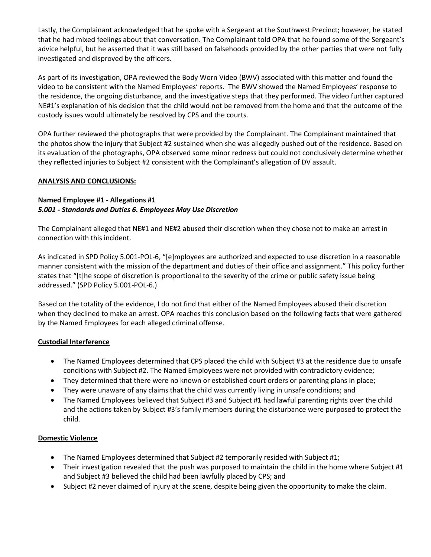Lastly, the Complainant acknowledged that he spoke with a Sergeant at the Southwest Precinct; however, he stated that he had mixed feelings about that conversation. The Complainant told OPA that he found some of the Sergeant's advice helpful, but he asserted that it was still based on falsehoods provided by the other parties that were not fully investigated and disproved by the officers.

As part of its investigation, OPA reviewed the Body Worn Video (BWV) associated with this matter and found the video to be consistent with the Named Employees' reports. The BWV showed the Named Employees' response to the residence, the ongoing disturbance, and the investigative steps that they performed. The video further captured NE#1's explanation of his decision that the child would not be removed from the home and that the outcome of the custody issues would ultimately be resolved by CPS and the courts.

OPA further reviewed the photographs that were provided by the Complainant. The Complainant maintained that the photos show the injury that Subject #2 sustained when she was allegedly pushed out of the residence. Based on its evaluation of the photographs, OPA observed some minor redness but could not conclusively determine whether they reflected injuries to Subject #2 consistent with the Complainant's allegation of DV assault.

## **ANALYSIS AND CONCLUSIONS:**

## **Named Employee #1 - Allegations #1** *5.001 - Standards and Duties 6. Employees May Use Discretion*

The Complainant alleged that NE#1 and NE#2 abused their discretion when they chose not to make an arrest in connection with this incident.

As indicated in SPD Policy 5.001-POL-6, "[e]mployees are authorized and expected to use discretion in a reasonable manner consistent with the mission of the department and duties of their office and assignment." This policy further states that "[t]he scope of discretion is proportional to the severity of the crime or public safety issue being addressed." (SPD Policy 5.001-POL-6.)

Based on the totality of the evidence, I do not find that either of the Named Employees abused their discretion when they declined to make an arrest. OPA reaches this conclusion based on the following facts that were gathered by the Named Employees for each alleged criminal offense.

# **Custodial Interference**

- The Named Employees determined that CPS placed the child with Subject #3 at the residence due to unsafe conditions with Subject #2. The Named Employees were not provided with contradictory evidence;
- They determined that there were no known or established court orders or parenting plans in place;
- They were unaware of any claims that the child was currently living in unsafe conditions; and
- The Named Employees believed that Subject #3 and Subject #1 had lawful parenting rights over the child and the actions taken by Subject #3's family members during the disturbance were purposed to protect the child.

#### **Domestic Violence**

- The Named Employees determined that Subject #2 temporarily resided with Subject #1;
- Their investigation revealed that the push was purposed to maintain the child in the home where Subject #1 and Subject #3 believed the child had been lawfully placed by CPS; and
- Subject #2 never claimed of injury at the scene, despite being given the opportunity to make the claim.